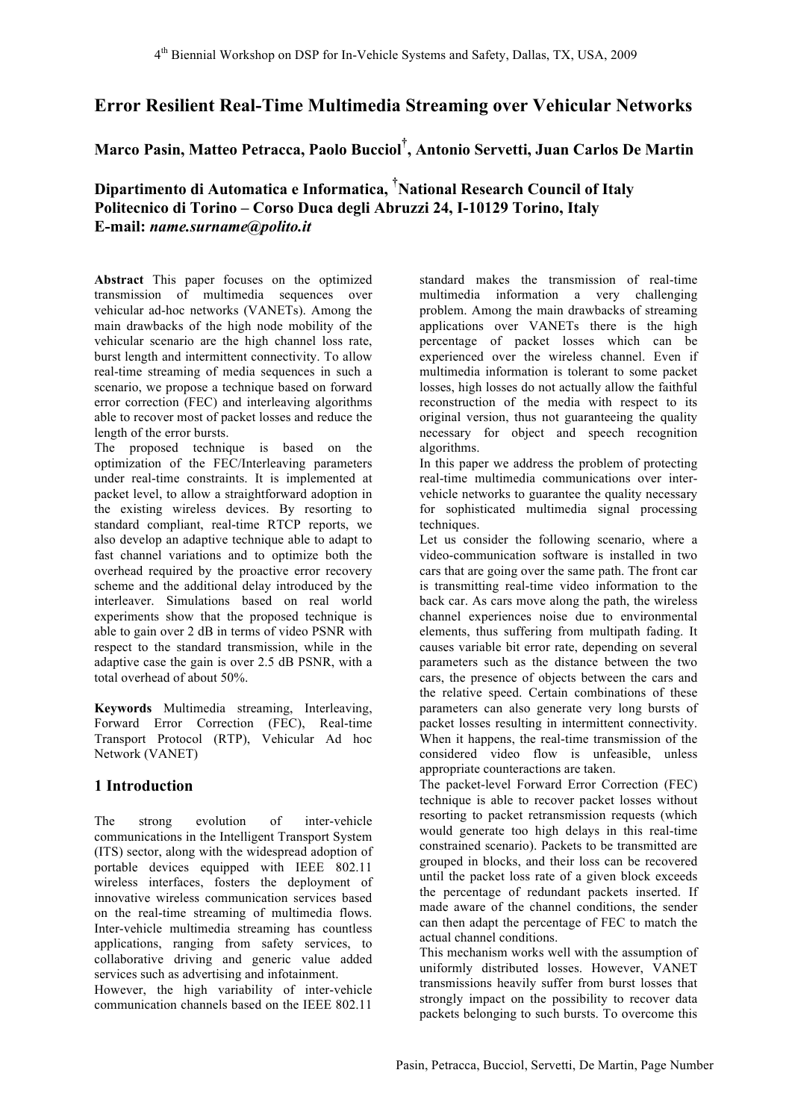# **Error Resilient Real-Time Multimedia Streaming over Vehicular Networks**

**Marco Pasin, Matteo Petracca, Paolo Bucciol† , Antonio Servetti, Juan Carlos De Martin**

**Dipartimento di Automatica e Informatica, † National Research Council of Italy Politecnico di Torino – Corso Duca degli Abruzzi 24, I-10129 Torino, Italy E-mail:** *name.surname@polito.it*

**Abstract** This paper focuses on the optimized transmission of multimedia sequences over vehicular ad-hoc networks (VANETs). Among the main drawbacks of the high node mobility of the vehicular scenario are the high channel loss rate, burst length and intermittent connectivity. To allow real-time streaming of media sequences in such a scenario, we propose a technique based on forward error correction (FEC) and interleaving algorithms able to recover most of packet losses and reduce the length of the error bursts.

The proposed technique is based on the optimization of the FEC/Interleaving parameters under real-time constraints. It is implemented at packet level, to allow a straightforward adoption in the existing wireless devices. By resorting to standard compliant, real-time RTCP reports, we also develop an adaptive technique able to adapt to fast channel variations and to optimize both the overhead required by the proactive error recovery scheme and the additional delay introduced by the interleaver. Simulations based on real world experiments show that the proposed technique is able to gain over 2 dB in terms of video PSNR with respect to the standard transmission, while in the adaptive case the gain is over 2.5 dB PSNR, with a total overhead of about 50%.

**Keywords** Multimedia streaming, Interleaving, Forward Error Correction (FEC), Real-time Transport Protocol (RTP), Vehicular Ad hoc Network (VANET)

# **1 Introduction**

The strong evolution of inter-vehicle communications in the Intelligent Transport System (ITS) sector, along with the widespread adoption of portable devices equipped with IEEE 802.11 wireless interfaces, fosters the deployment of innovative wireless communication services based on the real-time streaming of multimedia flows. Inter-vehicle multimedia streaming has countless applications, ranging from safety services, to collaborative driving and generic value added services such as advertising and infotainment.

However, the high variability of inter-vehicle communication channels based on the IEEE 802.11

standard makes the transmission of real-time multimedia information a very challenging problem. Among the main drawbacks of streaming applications over VANETs there is the high percentage of packet losses which can be experienced over the wireless channel. Even if multimedia information is tolerant to some packet losses, high losses do not actually allow the faithful reconstruction of the media with respect to its original version, thus not guaranteeing the quality necessary for object and speech recognition algorithms.

In this paper we address the problem of protecting real-time multimedia communications over intervehicle networks to guarantee the quality necessary for sophisticated multimedia signal processing techniques.

Let us consider the following scenario, where a video-communication software is installed in two cars that are going over the same path. The front car is transmitting real-time video information to the back car. As cars move along the path, the wireless channel experiences noise due to environmental elements, thus suffering from multipath fading. It causes variable bit error rate, depending on several parameters such as the distance between the two cars, the presence of objects between the cars and the relative speed. Certain combinations of these parameters can also generate very long bursts of packet losses resulting in intermittent connectivity. When it happens, the real-time transmission of the considered video flow is unfeasible, unless appropriate counteractions are taken.

The packet-level Forward Error Correction (FEC) technique is able to recover packet losses without resorting to packet retransmission requests (which would generate too high delays in this real-time constrained scenario). Packets to be transmitted are grouped in blocks, and their loss can be recovered until the packet loss rate of a given block exceeds the percentage of redundant packets inserted. If made aware of the channel conditions, the sender can then adapt the percentage of FEC to match the actual channel conditions.

This mechanism works well with the assumption of uniformly distributed losses. However, VANET transmissions heavily suffer from burst losses that strongly impact on the possibility to recover data packets belonging to such bursts. To overcome this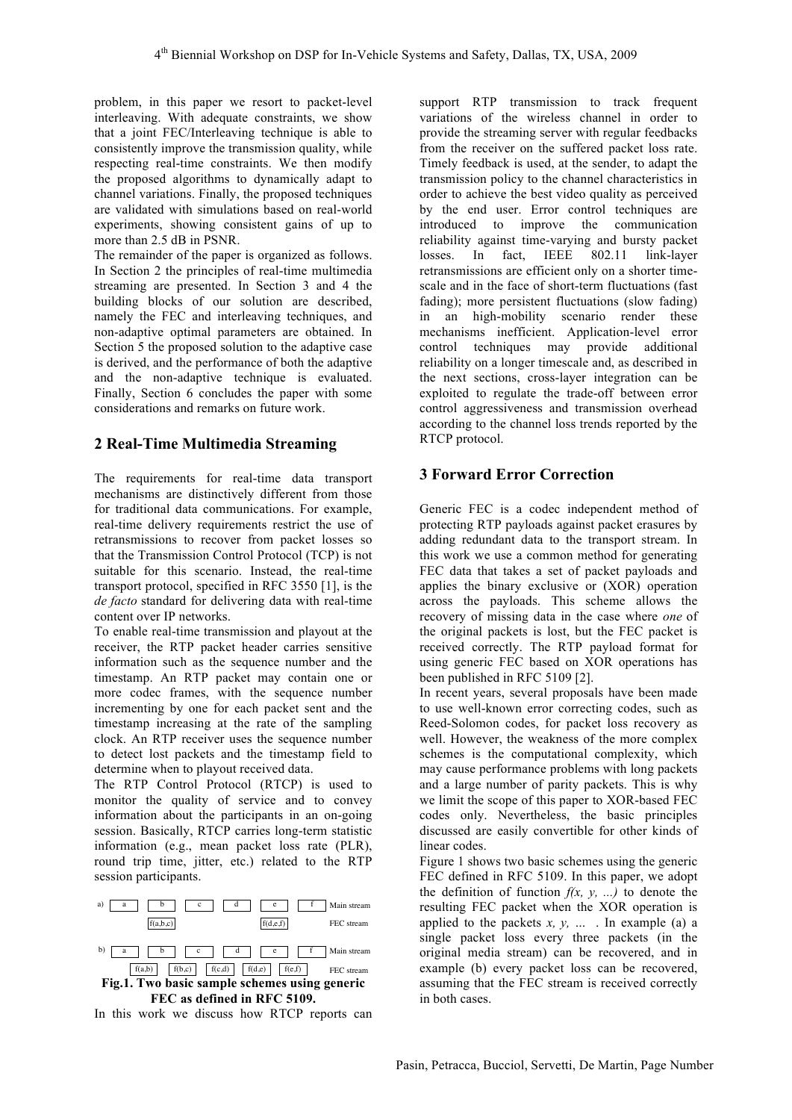problem, in this paper we resort to packet-level interleaving. With adequate constraints, we show that a joint FEC/Interleaving technique is able to consistently improve the transmission quality, while respecting real-time constraints. We then modify the proposed algorithms to dynamically adapt to channel variations. Finally, the proposed techniques are validated with simulations based on real-world experiments, showing consistent gains of up to more than 2.5 dB in PSNR.

The remainder of the paper is organized as follows. In Section 2 the principles of real-time multimedia streaming are presented. In Section 3 and 4 the building blocks of our solution are described, namely the FEC and interleaving techniques, and non-adaptive optimal parameters are obtained. In Section 5 the proposed solution to the adaptive case is derived, and the performance of both the adaptive and the non-adaptive technique is evaluated. Finally, Section 6 concludes the paper with some considerations and remarks on future work.

### **2 Real-Time Multimedia Streaming**

The requirements for real-time data transport mechanisms are distinctively different from those for traditional data communications. For example, real-time delivery requirements restrict the use of retransmissions to recover from packet losses so that the Transmission Control Protocol (TCP) is not suitable for this scenario. Instead, the real-time transport protocol, specified in RFC 3550 [1], is the *de facto* standard for delivering data with real-time content over IP networks.

To enable real-time transmission and playout at the receiver, the RTP packet header carries sensitive information such as the sequence number and the timestamp. An RTP packet may contain one or more codec frames, with the sequence number incrementing by one for each packet sent and the timestamp increasing at the rate of the sampling clock. An RTP receiver uses the sequence number to detect lost packets and the timestamp field to determine when to playout received data.

The RTP Control Protocol (RTCP) is used to monitor the quality of service and to convey information about the participants in an on-going session. Basically, RTCP carries long-term statistic information (e.g., mean packet loss rate (PLR), round trip time, jitter, etc.) related to the RTP session participants.

| a)<br>c<br>a<br>b                             | e                | Main stream |
|-----------------------------------------------|------------------|-------------|
| f(a,b,c)                                      | f(d,e,f)         | FEC stream  |
| b)<br>b<br>c                                  | d<br>e           | Main stream |
| f(c,d)<br>f(b,c)<br>f(a,b)                    | f(d,e)<br>f(e,f) | FEC stream  |
| Fig.1. Two basic sample schemes using generic |                  |             |
| FEC as defined in RFC 5109.                   |                  |             |

In this work we discuss how RTCP reports can

support RTP transmission to track frequent variations of the wireless channel in order to provide the streaming server with regular feedbacks from the receiver on the suffered packet loss rate. Timely feedback is used, at the sender, to adapt the transmission policy to the channel characteristics in order to achieve the best video quality as perceived by the end user. Error control techniques are introduced to improve the communication reliability against time-varying and bursty packet losses. In fact, IEEE 802.11 link-layer retransmissions are efficient only on a shorter timescale and in the face of short-term fluctuations (fast fading); more persistent fluctuations (slow fading) in an high-mobility scenario render these mechanisms inefficient. Application-level error control techniques may provide additional reliability on a longer timescale and, as described in the next sections, cross-layer integration can be exploited to regulate the trade-off between error control aggressiveness and transmission overhead according to the channel loss trends reported by the RTCP protocol.

### **3 Forward Error Correction**

Generic FEC is a codec independent method of protecting RTP payloads against packet erasures by adding redundant data to the transport stream. In this work we use a common method for generating FEC data that takes a set of packet payloads and applies the binary exclusive or (XOR) operation across the payloads. This scheme allows the recovery of missing data in the case where *one* of the original packets is lost, but the FEC packet is received correctly. The RTP payload format for using generic FEC based on XOR operations has been published in RFC 5109 [2].

In recent years, several proposals have been made to use well-known error correcting codes, such as Reed-Solomon codes, for packet loss recovery as well. However, the weakness of the more complex schemes is the computational complexity, which may cause performance problems with long packets and a large number of parity packets. This is why we limit the scope of this paper to XOR-based FEC codes only. Nevertheless, the basic principles discussed are easily convertible for other kinds of linear codes.

Figure 1 shows two basic schemes using the generic FEC defined in RFC 5109. In this paper, we adopt the definition of function  $f(x, y, ...)$  to denote the resulting FEC packet when the XOR operation is applied to the packets  $x, y, \ldots$ . In example (a) a single packet loss every three packets (in the original media stream) can be recovered, and in example (b) every packet loss can be recovered, assuming that the FEC stream is received correctly in both cases.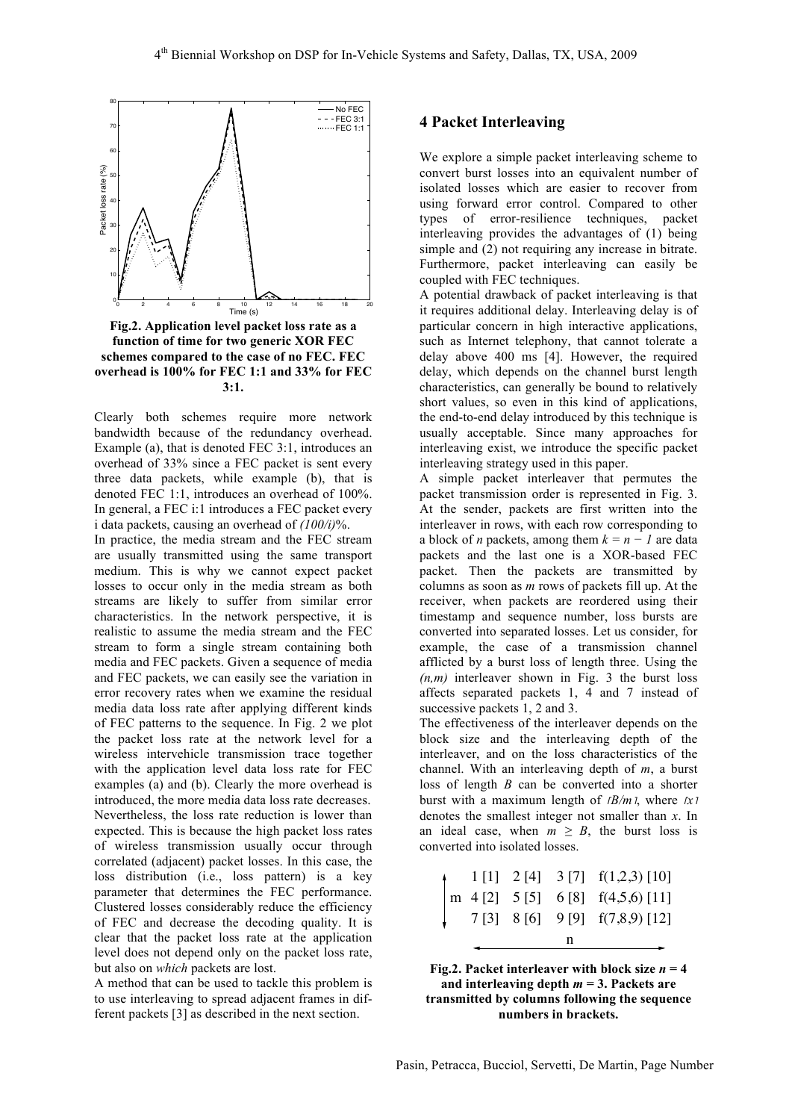

**Fig.2. Application level packet loss rate as a function of time for two generic XOR FEC schemes compared to the case of no FEC. FEC overhead is 100% for FEC 1:1 and 33% for FEC 3:1.**

Clearly both schemes require more network bandwidth because of the redundancy overhead. Example (a), that is denoted FEC 3:1, introduces an overhead of 33% since a FEC packet is sent every three data packets, while example (b), that is denoted FEC 1:1, introduces an overhead of 100%. In general, a FEC i:1 introduces a FEC packet every i data packets, causing an overhead of *(100/i)*%.

In practice, the media stream and the FEC stream are usually transmitted using the same transport medium. This is why we cannot expect packet losses to occur only in the media stream as both streams are likely to suffer from similar error characteristics. In the network perspective, it is realistic to assume the media stream and the FEC stream to form a single stream containing both media and FEC packets. Given a sequence of media and FEC packets, we can easily see the variation in error recovery rates when we examine the residual media data loss rate after applying different kinds of FEC patterns to the sequence. In Fig. 2 we plot the packet loss rate at the network level for a wireless intervehicle transmission trace together with the application level data loss rate for FEC examples (a) and (b). Clearly the more overhead is introduced, the more media data loss rate decreases. Nevertheless, the loss rate reduction is lower than expected. This is because the high packet loss rates of wireless transmission usually occur through correlated (adjacent) packet losses. In this case, the loss distribution (i.e., loss pattern) is a key parameter that determines the FEC performance. Clustered losses considerably reduce the efficiency of FEC and decrease the decoding quality. It is clear that the packet loss rate at the application level does not depend only on the packet loss rate, but also on *which* packets are lost.

A method that can be used to tackle this problem is to use interleaving to spread adjacent frames in different packets [3] as described in the next section.

### **4 Packet Interleaving**

We explore a simple packet interleaving scheme to convert burst losses into an equivalent number of isolated losses which are easier to recover from using forward error control. Compared to other types of error-resilience techniques, packet interleaving provides the advantages of (1) being simple and (2) not requiring any increase in bitrate. Furthermore, packet interleaving can easily be coupled with FEC techniques.

A potential drawback of packet interleaving is that it requires additional delay. Interleaving delay is of particular concern in high interactive applications, such as Internet telephony, that cannot tolerate a delay above 400 ms [4]. However, the required delay, which depends on the channel burst length characteristics, can generally be bound to relatively short values, so even in this kind of applications, the end-to-end delay introduced by this technique is usually acceptable. Since many approaches for interleaving exist, we introduce the specific packet interleaving strategy used in this paper.

A simple packet interleaver that permutes the packet transmission order is represented in Fig. 3. At the sender, packets are first written into the interleaver in rows, with each row corresponding to a block of *n* packets, among them  $k = n - 1$  are data packets and the last one is a XOR-based FEC packet. Then the packets are transmitted by columns as soon as *m* rows of packets fill up. At the receiver, when packets are reordered using their timestamp and sequence number, loss bursts are converted into separated losses. Let us consider, for example, the case of a transmission channel afflicted by a burst loss of length three. Using the  $(n,m)$  interleaver shown in Fig. 3 the burst loss affects separated packets 1, 4 and 7 instead of successive packets 1, 2 and 3.

The effectiveness of the interleaver depends on the block size and the interleaving depth of the interleaver, and on the loss characteristics of the channel. With an interleaving depth of *m*, a burst loss of length *B* can be converted into a shorter burst with a maximum length of  $IB/m$ <sup>*l*</sup>, where  $lx$ <sup>*l*</sup> denotes the smallest integer not smaller than *x*. In an ideal case, when  $m \geq B$ , the burst loss is converted into isolated losses.

|  | n |                                          |
|--|---|------------------------------------------|
|  |   | $\downarrow$ 7[3] 8[6] 9[9] f(7,8,9)[12] |
|  |   | m 4 [2] 5 [5] 6 [8] $f(4,5,6)$ [11]      |
|  |   | $1 [1] 2 [4] 3 [7]$ $f(1,2,3) [10]$      |

**Fig.2. Packet interleaver with block size**  $n = 4$ and interleaving depth  $m = 3$ . Packets are **transmitted by columns following the sequence numbers in brackets.**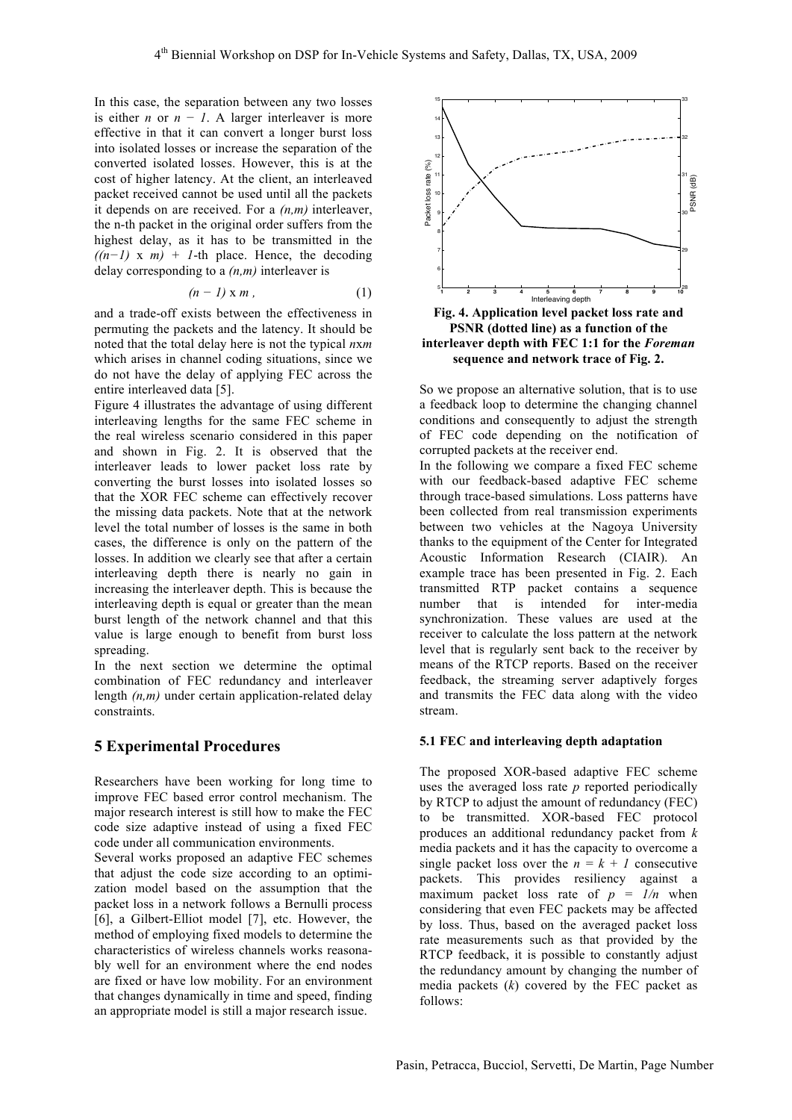In this case, the separation between any two losses is either *n* or  $n - 1$ . A larger interleaver is more effective in that it can convert a longer burst loss into isolated losses or increase the separation of the converted isolated losses. However, this is at the cost of higher latency. At the client, an interleaved packet received cannot be used until all the packets it depends on are received. For a *(n,m)* interleaver, the n-th packet in the original order suffers from the highest delay, as it has to be transmitted in the  $((n-1)$  **x** *m*) + *1*-th place. Hence, the decoding delay corresponding to a *(n,m)* interleaver is

$$
(n-1) \ge m , \tag{1}
$$

and a trade-off exists between the effectiveness in permuting the packets and the latency. It should be noted that the total delay here is not the typical *n*x*m* which arises in channel coding situations, since we do not have the delay of applying FEC across the entire interleaved data [5].

Figure 4 illustrates the advantage of using different interleaving lengths for the same FEC scheme in the real wireless scenario considered in this paper and shown in Fig. 2. It is observed that the interleaver leads to lower packet loss rate by converting the burst losses into isolated losses so that the XOR FEC scheme can effectively recover the missing data packets. Note that at the network level the total number of losses is the same in both cases, the difference is only on the pattern of the losses. In addition we clearly see that after a certain interleaving depth there is nearly no gain in increasing the interleaver depth. This is because the interleaving depth is equal or greater than the mean burst length of the network channel and that this value is large enough to benefit from burst loss spreading.

In the next section we determine the optimal combination of FEC redundancy and interleaver length *(n,m)* under certain application-related delay constraints.

### **5 Experimental Procedures**

Researchers have been working for long time to improve FEC based error control mechanism. The major research interest is still how to make the FEC code size adaptive instead of using a fixed FEC code under all communication environments.

Several works proposed an adaptive FEC schemes that adjust the code size according to an optimization model based on the assumption that the packet loss in a network follows a Bernulli process [6], a Gilbert-Elliot model [7], etc. However, the method of employing fixed models to determine the characteristics of wireless channels works reasonably well for an environment where the end nodes are fixed or have low mobility. For an environment that changes dynamically in time and speed, finding an appropriate model is still a major research issue.



**Fig. 4. Application level packet loss rate and PSNR (dotted line) as a function of the interleaver depth with FEC 1:1 for the** *Foreman*  **sequence and network trace of Fig. 2.**

So we propose an alternative solution, that is to use a feedback loop to determine the changing channel conditions and consequently to adjust the strength of FEC code depending on the notification of corrupted packets at the receiver end.

In the following we compare a fixed FEC scheme with our feedback-based adaptive FEC scheme through trace-based simulations. Loss patterns have been collected from real transmission experiments between two vehicles at the Nagoya University thanks to the equipment of the Center for Integrated Acoustic Information Research (CIAIR). An example trace has been presented in Fig. 2. Each transmitted RTP packet contains a sequence number that is intended for inter-media synchronization. These values are used at the receiver to calculate the loss pattern at the network level that is regularly sent back to the receiver by means of the RTCP reports. Based on the receiver feedback, the streaming server adaptively forges and transmits the FEC data along with the video stream.

#### **5.1 FEC and interleaving depth adaptation**

The proposed XOR-based adaptive FEC scheme uses the averaged loss rate *p* reported periodically by RTCP to adjust the amount of redundancy (FEC) to be transmitted. XOR-based FEC protocol produces an additional redundancy packet from *k* media packets and it has the capacity to overcome a single packet loss over the  $n = k + 1$  consecutive packets. This provides resiliency against a maximum packet loss rate of  $p = I/n$  when considering that even FEC packets may be affected by loss. Thus, based on the averaged packet loss rate measurements such as that provided by the RTCP feedback, it is possible to constantly adjust the redundancy amount by changing the number of media packets (*k*) covered by the FEC packet as follows: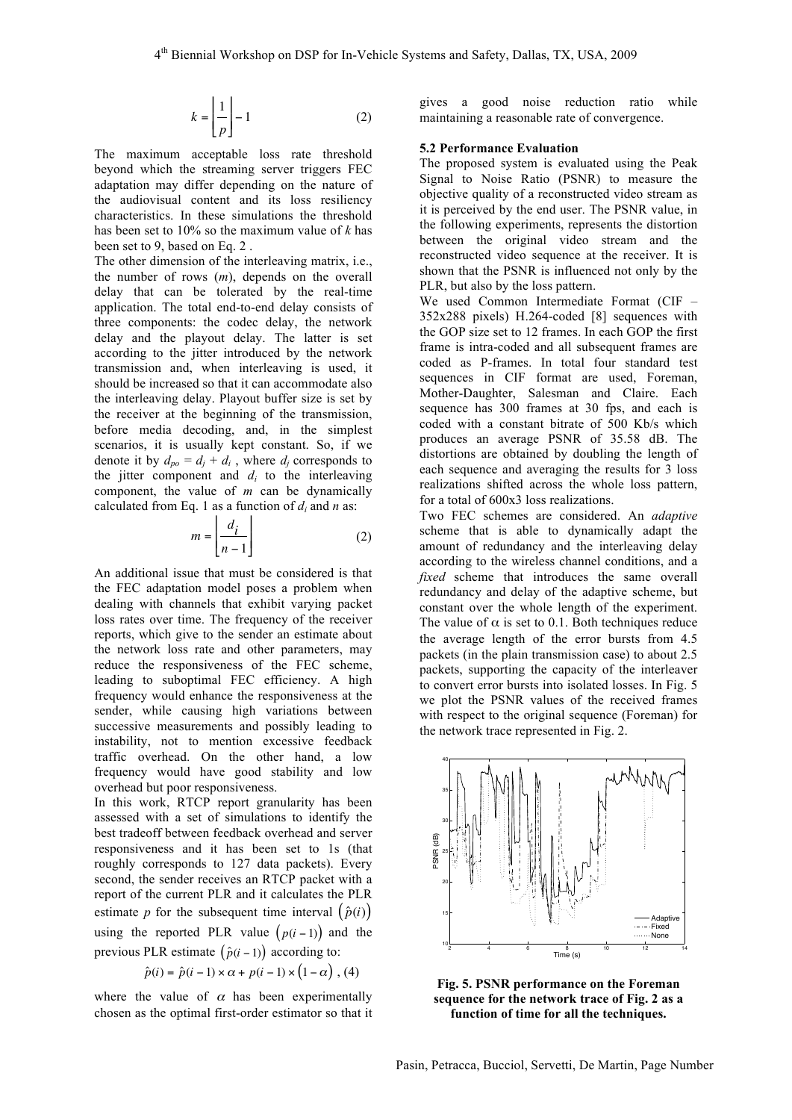$$
k = \left\lfloor \frac{1}{p} \right\rfloor - 1 \tag{2}
$$

the audiovisual content and its loss resiliency The maximum acceptable loss rate threshold beyond which the streaming server triggers FEC adaptation may differ depending on the nature of characteristics. In these simulations the threshold has been set to 10% so the maximum value of *k* has been set to 9, based on Eq. 2 .

The other dimension of the interleaving matrix, i.e., the number of rows (*m*), depends on the overall delay that can be tolerated by the real-time application. The total end-to-end delay consists of three components: the codec delay, the network delay and the playout delay. The latter is set according to the jitter introduced by the network transmission and, when interleaving is used, it should be increased so that it can accommodate also the interleaving delay. Playout buffer size is set by the receiver at the beginning of the transmission, before media decoding, and, in the simplest scenarios, it is usually kept constant. So, if we denote it by  $d_{po} = d_i + d_i$ , where  $d_i$  corresponds to the jitter component and  $d_i$  to the interleaving component, the value of *m* can be dynamically calculated from Eq. 1 as a function of  $d_i$  and *n* as:

$$
m = \left[ \frac{d_i}{n-1} \right] \tag{2}
$$

loss rates over time. The frequency of the receiver An additional issue that must be considered is that the FEC adaptation model poses a problem when dealing with channels that exhibit varying packet reports, which give to the sender an estimate about the network loss rate and other parameters, may reduce the responsiveness of the FEC scheme, leading to suboptimal FEC efficiency. A high frequency would enhance the responsiveness at the sender, while causing high variations between successive measurements and possibly leading to instability, not to mention excessive feedback traffic overhead. On the other hand, a low frequency would have good stability and low overhead but poor responsiveness.

In this work, RTCP report granularity has been assessed with a set of simulations to identify the best tradeoff between feedback overhead and server responsiveness and it has been set to 1s (that roughly corresponds to 127 data packets). Every second, the sender receives an RTCP packet with a report of the current PLR and it calculates the PLR estimate  $p$  for the subsequent time interval  $(\hat{p}(i))$ using the reported PLR value  $(p(i-1))$  and the previous PLR estimate  $(\hat{p}(i-1))$  according to:

$$
\hat{p}(i) = \hat{p}(i-1) \times \alpha + p(i-1) \times (1-\alpha) , (4)
$$

where the value of  $\alpha$  has been experimentally chosen as the optimal first-order estimator so that it gives a good noise reduction ratio while maintaining a reasonable rate of convergence.

#### **5.2 Performance Evaluation**

The proposed system is evaluated using the Peak Signal to Noise Ratio (PSNR) to measure the objective quality of a reconstructed video stream as it is perceived by the end user. The PSNR value, in the following experiments, represents the distortion between the original video stream and the reconstructed video sequence at the receiver. It is shown that the PSNR is influenced not only by the PLR, but also by the loss pattern.

We used Common Intermediate Format (CIF – 352x288 pixels) H.264-coded [8] sequences with the GOP size set to 12 frames. In each GOP the first frame is intra-coded and all subsequent frames are coded as P-frames. In total four standard test sequences in CIF format are used, Foreman, Mother-Daughter, Salesman and Claire. Each sequence has 300 frames at 30 fps, and each is coded with a constant bitrate of 500 Kb/s which produces an average PSNR of 35.58 dB. The distortions are obtained by doubling the length of each sequence and averaging the results for 3 loss realizations shifted across the whole loss pattern, for a total of 600x3 loss realizations.

Two FEC schemes are considered. An *adaptive*  scheme that is able to dynamically adapt the amount of redundancy and the interleaving delay according to the wireless channel conditions, and a *fixed* scheme that introduces the same overall redundancy and delay of the adaptive scheme, but constant over the whole length of the experiment. The value of  $\alpha$  is set to 0.1. Both techniques reduce the average length of the error bursts from 4.5 packets (in the plain transmission case) to about 2.5 packets, supporting the capacity of the interleaver to convert error bursts into isolated losses. In Fig. 5 we plot the PSNR values of the received frames with respect to the original sequence (Foreman) for the network trace represented in Fig. 2.



**Fig. 5. PSNR performance on the Foreman sequence for the network trace of Fig. 2 as a function of time for all the techniques.**